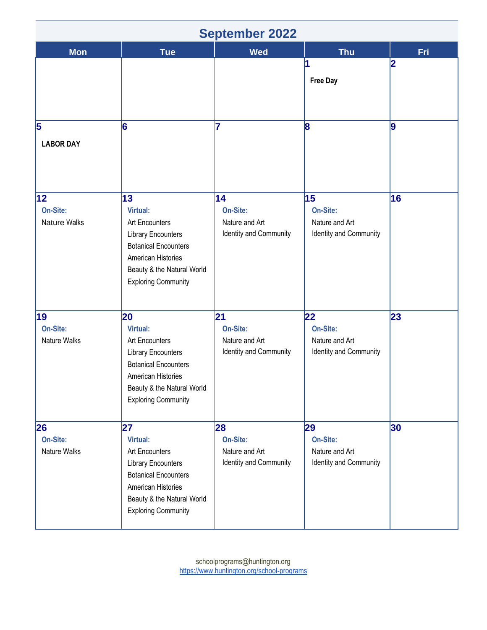| <b>September 2022</b>                  |                                                                                                                                                                                |                                                            |                                                            |            |
|----------------------------------------|--------------------------------------------------------------------------------------------------------------------------------------------------------------------------------|------------------------------------------------------------|------------------------------------------------------------|------------|
| <b>Mon</b>                             | <b>Tue</b>                                                                                                                                                                     | <b>Wed</b>                                                 | <b>Thu</b>                                                 | <b>Fri</b> |
|                                        |                                                                                                                                                                                |                                                            | <b>Free Day</b>                                            | 2          |
| 5<br><b>LABOR DAY</b>                  | 6                                                                                                                                                                              | 17                                                         | 8                                                          | 9          |
| 12 <br>On-Site:<br><b>Nature Walks</b> | 13<br>Virtual:<br>Art Encounters<br><b>Library Encounters</b><br><b>Botanical Encounters</b><br>American Histories<br>Beauty & the Natural World<br><b>Exploring Community</b> | 14<br>On-Site:<br>Nature and Art<br>Identity and Community | 15<br>On-Site:<br>Nature and Art<br>Identity and Community | 16         |
| 19<br>On-Site:<br><b>Nature Walks</b>  | 20<br>Virtual:<br>Art Encounters<br><b>Library Encounters</b><br><b>Botanical Encounters</b><br>American Histories<br>Beauty & the Natural World<br><b>Exploring Community</b> | 21<br>On-Site:<br>Nature and Art<br>Identity and Community | 22<br>On-Site:<br>Nature and Art<br>Identity and Community | 23         |
| 26<br>On-Site:<br>Nature Walks         | 27<br>Virtual:<br>Art Encounters<br><b>Library Encounters</b><br><b>Botanical Encounters</b><br>American Histories<br>Beauty & the Natural World<br><b>Exploring Community</b> | 28<br>On-Site:<br>Nature and Art<br>Identity and Community | 29<br>On-Site:<br>Nature and Art<br>Identity and Community | 30         |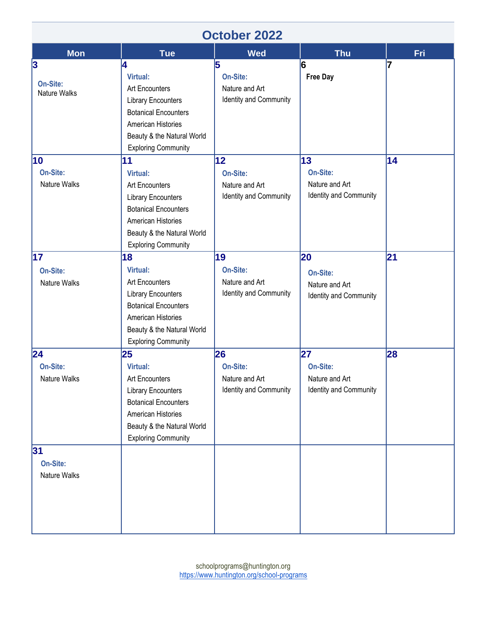| <b>October 2022</b>                  |                                                                                                                                                                                              |                                                                      |                                                            |            |
|--------------------------------------|----------------------------------------------------------------------------------------------------------------------------------------------------------------------------------------------|----------------------------------------------------------------------|------------------------------------------------------------|------------|
| <b>Mon</b>                           | <b>Tue</b>                                                                                                                                                                                   | <b>Wed</b>                                                           | <b>Thu</b>                                                 | <b>Fri</b> |
| 3<br>On-Site:<br><b>Nature Walks</b> | 4<br><b>Virtual:</b><br><b>Art Encounters</b><br><b>Library Encounters</b><br><b>Botanical Encounters</b><br>American Histories<br>Beauty & the Natural World<br><b>Exploring Community</b>  | 5<br>On-Site:<br>Nature and Art<br>Identity and Community            | 6<br><b>Free Day</b>                                       | 7          |
| 10<br>On-Site:<br>Nature Walks       | 11<br><b>Virtual:</b><br><b>Art Encounters</b><br><b>Library Encounters</b><br><b>Botanical Encounters</b><br>American Histories<br>Beauty & the Natural World<br><b>Exploring Community</b> | $ 12\rangle$<br>On-Site:<br>Nature and Art<br>Identity and Community | 13<br>On-Site:<br>Nature and Art<br>Identity and Community | 14         |
| 17<br>On-Site:<br>Nature Walks       | 18<br><b>Virtual:</b><br><b>Art Encounters</b><br><b>Library Encounters</b><br><b>Botanical Encounters</b><br>American Histories<br>Beauty & the Natural World<br><b>Exploring Community</b> | 19<br>On-Site:<br>Nature and Art<br>Identity and Community           | 20<br>On-Site:<br>Nature and Art<br>Identity and Community | 21         |
| 24<br>On-Site:<br>Nature Walks<br>31 | 25<br>Virtual:<br>Art Encounters<br><b>Library Encounters</b><br><b>Botanical Encounters</b><br>American Histories<br>Beauty & the Natural World<br><b>Exploring Community</b>               | 26<br>On-Site:<br>Nature and Art<br>Identity and Community           | 27<br>On-Site:<br>Nature and Art<br>Identity and Community | 28         |
| On-Site:<br>Nature Walks             |                                                                                                                                                                                              |                                                                      |                                                            |            |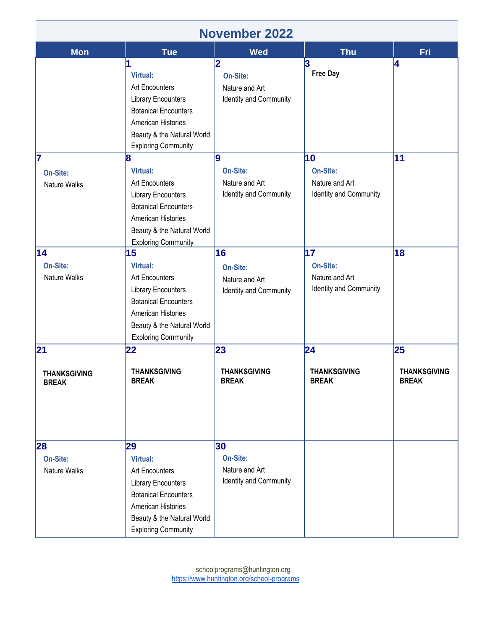| <b>November 2022</b>                      |                                                                                                                                                                                      |                                                            |                                                            |                                           |
|-------------------------------------------|--------------------------------------------------------------------------------------------------------------------------------------------------------------------------------------|------------------------------------------------------------|------------------------------------------------------------|-------------------------------------------|
| <b>Mon</b>                                | <b>Tue</b>                                                                                                                                                                           | <b>Wed</b>                                                 | <b>Thu</b>                                                 | Fri.                                      |
|                                           | Virtual:<br><b>Art Encounters</b><br><b>Library Encounters</b><br><b>Botanical Encounters</b><br>American Histories<br>Beauty & the Natural World<br><b>Exploring Community</b>      | 2<br>On-Site:<br>Nature and Art<br>Identity and Community  | 3<br><b>Free Day</b>                                       | 4                                         |
| 17<br>On-Site:<br>Nature Walks            | 8<br>Virtual:<br><b>Art Encounters</b><br><b>Library Encounters</b><br><b>Botanical Encounters</b><br>American Histories<br>Beauty & the Natural World<br><b>Exploring Community</b> | 9<br>On-Site:<br>Nature and Art<br>Identity and Community  | 10<br>On-Site:<br>Nature and Art<br>Identity and Community | 11                                        |
| 14<br>On-Site:<br>Nature Walks            | 15<br>Virtual:<br>Art Encounters<br><b>Library Encounters</b><br><b>Botanical Encounters</b><br>American Histories<br>Beauty & the Natural World<br><b>Exploring Community</b>       | 16<br>On-Site:<br>Nature and Art<br>Identity and Community | 17<br>On-Site:<br>Nature and Art<br>Identity and Community | 18                                        |
| 21<br><b>THANKSGIVING</b><br><b>BREAK</b> | 22<br><b>THANKSGIVING</b><br><b>BREAK</b>                                                                                                                                            | 23<br><b>THANKSGIVING</b><br><b>BREAK</b>                  | 24<br><b>THANKSGIVING</b><br><b>BREAK</b>                  | 25<br><b>THANKSGIVING</b><br><b>BREAK</b> |
| 28<br>On-Site:<br>Nature Walks            | 29<br>Virtual:<br>Art Encounters<br><b>Library Encounters</b><br><b>Botanical Encounters</b><br>American Histories<br>Beauty & the Natural World<br><b>Exploring Community</b>       | 30<br>On-Site:<br>Nature and Art<br>Identity and Community |                                                            |                                           |